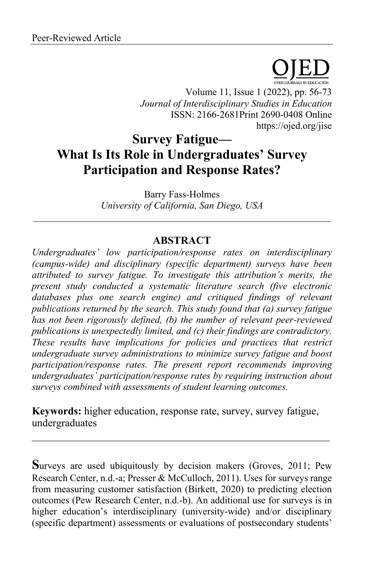Volume 11, Issue 1 (2022), pp. 56-73 *Journal of Interdisciplinary Studies in Education* ISSN: 2166-2681Print 2690-0408 Online https://ojed.org/jise

# **Survey Fatigue— What Is Its Role in Undergraduates' Survey Participation and Response Rates?**

Barry Fass-Holmes *University of California, San Diego, USA*  $\_$  , and the set of the set of the set of the set of the set of the set of the set of the set of the set of the set of the set of the set of the set of the set of the set of the set of the set of the set of the set of th

## **ABSTRACT**

*Undergraduates' low participation/response rates on interdisciplinary (campus-wide) and disciplinary (specific department) surveys have been attributed to survey fatigue. To investigate this attribution's merits, the present study conducted a systematic literature search (five electronic databases plus one search engine) and critiqued findings of relevant publications returned by the search. This study found that (a) survey fatigue has not been rigorously defined, (b) the number of relevant peer-reviewed publications is unexpectedly limited, and (c) their findings are contradictory. These results have implications for policies and practices that restrict undergraduate survey administrations to minimize survey fatigue and boost participation/response rates. The present report recommends improving undergraduates' participation/response rates by requiring instruction about surveys combined with assessments of student learning outcomes.*

**Keywords:** higher education, response rate, survey, survey fatigue, undergraduates

**S**urveys are used ubiquitously by decision makers (Groves, 2011; Pew Research Center, n.d.-a; Presser & McCulloch, 2011). Uses for surveys range from measuring customer satisfaction (Birkett, 2020) to predicting election outcomes (Pew Research Center, n.d.-b). An additional use for surveys is in higher education's interdisciplinary (university-wide) and/or disciplinary (specific department) assessments or evaluations of postsecondary students'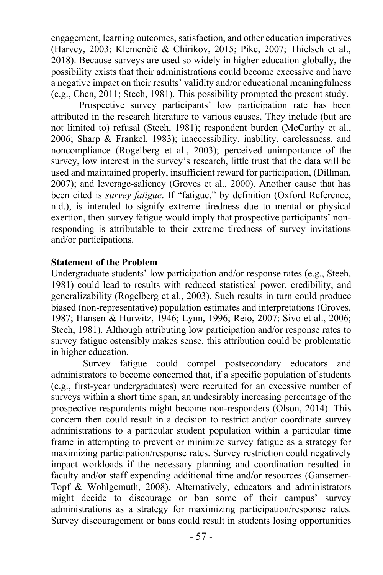engagement, learning outcomes, satisfaction, and other education imperatives (Harvey, 2003; Klemenčič & Chirikov, 2015; Pike, 2007; Thielsch et al., 2018). Because surveys are used so widely in higher education globally, the possibility exists that their administrations could become excessive and have a negative impact on their results' validity and/or educational meaningfulness (e.g., Chen, 2011; Steeh, 1981). This possibility prompted the present study.

Prospective survey participants' low participation rate has been attributed in the research literature to various causes. They include (but are not limited to) refusal (Steeh, 1981); respondent burden (McCarthy et al., 2006; Sharp & Frankel, 1983); inaccessibility, inability, carelessness, and noncompliance (Rogelberg et al., 2003); perceived unimportance of the survey, low interest in the survey's research, little trust that the data will be used and maintained properly, insufficient reward for participation, (Dillman, 2007); and leverage-saliency (Groves et al., 2000). Another cause that has been cited is *survey fatigue*. If "fatigue," by definition (Oxford Reference, n.d.), is intended to signify extreme tiredness due to mental or physical exertion, then survey fatigue would imply that prospective participants' nonresponding is attributable to their extreme tiredness of survey invitations and/or participations.

#### **Statement of the Problem**

Undergraduate students' low participation and/or response rates (e.g., Steeh, 1981) could lead to results with reduced statistical power, credibility, and generalizability (Rogelberg et al., 2003). Such results in turn could produce biased (non-representative) population estimates and interpretations (Groves, 1987; Hansen & Hurwitz, 1946; Lynn, 1996; Reio, 2007; Sivo et al., 2006; Steeh, 1981). Although attributing low participation and/or response rates to survey fatigue ostensibly makes sense, this attribution could be problematic in higher education.

Survey fatigue could compel postsecondary educators and administrators to become concerned that, if a specific population of students (e.g., first-year undergraduates) were recruited for an excessive number of surveys within a short time span, an undesirably increasing percentage of the prospective respondents might become non-responders (Olson, 2014). This concern then could result in a decision to restrict and/or coordinate survey administrations to a particular student population within a particular time frame in attempting to prevent or minimize survey fatigue as a strategy for maximizing participation/response rates. Survey restriction could negatively impact workloads if the necessary planning and coordination resulted in faculty and/or staff expending additional time and/or resources (Gansemer-Topf & Wohlgemuth, 2008). Alternatively, educators and administrators might decide to discourage or ban some of their campus' survey administrations as a strategy for maximizing participation/response rates. Survey discouragement or bans could result in students losing opportunities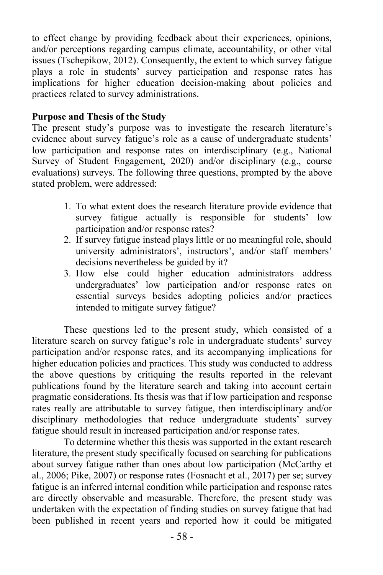to effect change by providing feedback about their experiences, opinions, and/or perceptions regarding campus climate, accountability, or other vital issues (Tschepikow, 2012). Consequently, the extent to which survey fatigue plays a role in students' survey participation and response rates has implications for higher education decision-making about policies and practices related to survey administrations.

### **Purpose and Thesis of the Study**

The present study's purpose was to investigate the research literature's evidence about survey fatigue's role as a cause of undergraduate students' low participation and response rates on interdisciplinary (e.g., National Survey of Student Engagement, 2020) and/or disciplinary (e.g., course evaluations) surveys. The following three questions, prompted by the above stated problem, were addressed:

- 1. To what extent does the research literature provide evidence that survey fatigue actually is responsible for students' low participation and/or response rates?
- 2. If survey fatigue instead plays little or no meaningful role, should university administrators', instructors', and/or staff members' decisions nevertheless be guided by it?
- 3. How else could higher education administrators address undergraduates' low participation and/or response rates on essential surveys besides adopting policies and/or practices intended to mitigate survey fatigue?

These questions led to the present study, which consisted of a literature search on survey fatigue's role in undergraduate students' survey participation and/or response rates, and its accompanying implications for higher education policies and practices. This study was conducted to address the above questions by critiquing the results reported in the relevant publications found by the literature search and taking into account certain pragmatic considerations. Its thesis was that if low participation and response rates really are attributable to survey fatigue, then interdisciplinary and/or disciplinary methodologies that reduce undergraduate students' survey fatigue should result in increased participation and/or response rates.

To determine whether this thesis was supported in the extant research literature, the present study specifically focused on searching for publications about survey fatigue rather than ones about low participation (McCarthy et al., 2006; Pike, 2007) or response rates (Fosnacht et al., 2017) per se; survey fatigue is an inferred internal condition while participation and response rates are directly observable and measurable. Therefore, the present study was undertaken with the expectation of finding studies on survey fatigue that had been published in recent years and reported how it could be mitigated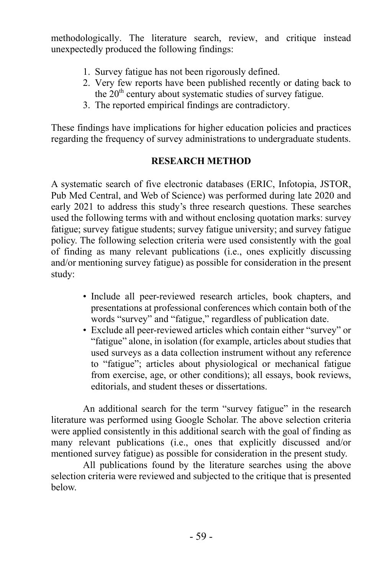methodologically. The literature search, review, and critique instead unexpectedly produced the following findings:

- 1. Survey fatigue has not been rigorously defined.
- 2. Very few reports have been published recently or dating back to the 20<sup>th</sup> century about systematic studies of survey fatigue.
- 3. The reported empirical findings are contradictory.

These findings have implications for higher education policies and practices regarding the frequency of survey administrations to undergraduate students.

## **RESEARCH METHOD**

A systematic search of five electronic databases (ERIC, Infotopia, JSTOR, Pub Med Central, and Web of Science) was performed during late 2020 and early 2021 to address this study's three research questions. These searches used the following terms with and without enclosing quotation marks: survey fatigue; survey fatigue students; survey fatigue university; and survey fatigue policy. The following selection criteria were used consistently with the goal of finding as many relevant publications (i.e., ones explicitly discussing and/or mentioning survey fatigue) as possible for consideration in the present study:

- Include all peer-reviewed research articles, book chapters, and presentations at professional conferences which contain both of the words "survey" and "fatigue," regardless of publication date.
- Exclude all peer-reviewed articles which contain either "survey" or "fatigue" alone, in isolation (for example, articles about studies that used surveys as a data collection instrument without any reference to "fatigue"; articles about physiological or mechanical fatigue from exercise, age, or other conditions); all essays, book reviews, editorials, and student theses or dissertations.

An additional search for the term "survey fatigue" in the research literature was performed using Google Scholar. The above selection criteria were applied consistently in this additional search with the goal of finding as many relevant publications (i.e., ones that explicitly discussed and/or mentioned survey fatigue) as possible for consideration in the present study.

All publications found by the literature searches using the above selection criteria were reviewed and subjected to the critique that is presented below.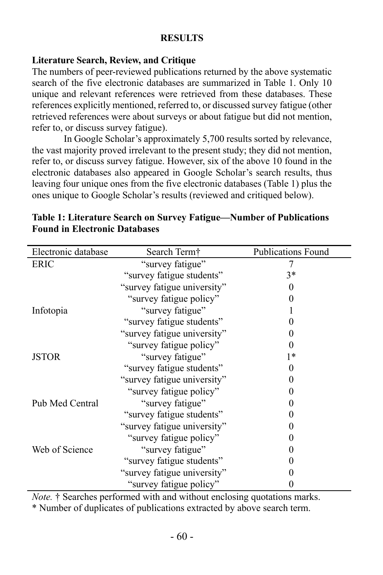### **RESULTS**

## **Literature Search, Review, and Critique**

The numbers of peer-reviewed publications returned by the above systematic search of the five electronic databases are summarized in Table 1. Only 10 unique and relevant references were retrieved from these databases. These references explicitly mentioned, referred to, or discussed survey fatigue (other retrieved references were about surveys or about fatigue but did not mention, refer to, or discuss survey fatigue).

In Google Scholar's approximately 5,700 results sorted by relevance, the vast majority proved irrelevant to the present study; they did not mention, refer to, or discuss survey fatigue. However, six of the above 10 found in the electronic databases also appeared in Google Scholar's search results, thus leaving four unique ones from the five electronic databases (Table 1) plus the ones unique to Google Scholar's results (reviewed and critiqued below).

| Electronic database | Search Term <sup>†</sup>    | <b>Publications Found</b> |
|---------------------|-----------------------------|---------------------------|
| ERIC                | "survey fatigue"            |                           |
|                     | "survey fatigue students"   | $3*$                      |
|                     | "survey fatigue university" |                           |
|                     | "survey fatigue policy"     |                           |
| Infotopia           | "survey fatigue"            |                           |
|                     | "survey fatigue students"   |                           |
|                     | "survey fatigue university" |                           |
|                     | "survey fatigue policy"     |                           |
| <b>JSTOR</b>        | "survey fatigue"            | 1*                        |
|                     | "survey fatigue students"   |                           |
|                     | "survey fatigue university" |                           |
|                     | "survey fatigue policy"     |                           |
| Pub Med Central     | "survey fatigue"            |                           |
|                     | "survey fatigue students"   |                           |
|                     | "survey fatigue university" |                           |
|                     | "survey fatigue policy"     |                           |
| Web of Science      | "survey fatigue"            |                           |
|                     | "survey fatigue students"   |                           |
|                     | "survey fatigue university" |                           |
|                     | "survey fatigue policy"     |                           |

**Table 1: Literature Search on Survey Fatigue—Number of Publications Found in Electronic Databases**

*Note.* † Searches performed with and without enclosing quotations marks.

\* Number of duplicates of publications extracted by above search term.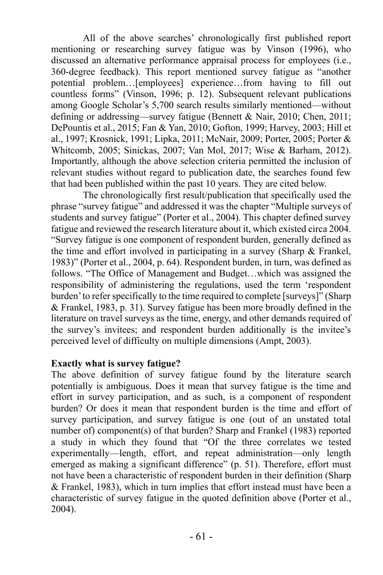All of the above searches' chronologically first published report mentioning or researching survey fatigue was by Vinson (1996), who discussed an alternative performance appraisal process for employees (i.e., 360-degree feedback). This report mentioned survey fatigue as "another potential problem…[employees] experience…from having to fill out countless forms" (Vinson, 1996; p. 12). Subsequent relevant publications among Google Scholar's 5,700 search results similarly mentioned—without defining or addressing—survey fatigue (Bennett & Nair, 2010; Chen, 2011; DePountis et al., 2015; Fan & Yan, 2010; Gofton, 1999; Harvey, 2003; Hill et al., 1997; Krosnick, 1991; Lipka, 2011; McNair, 2009; Porter, 2005; Porter & Whitcomb, 2005; Sinickas, 2007; Van Mol, 2017; Wise & Barham, 2012). Importantly, although the above selection criteria permitted the inclusion of relevant studies without regard to publication date, the searches found few that had been published within the past 10 years. They are cited below.

The chronologically first result/publication that specifically used the phrase "survey fatigue" and addressed it was the chapter "Multiple surveys of students and survey fatigue" (Porter et al., 2004). This chapter defined survey fatigue and reviewed the research literature about it, which existed circa 2004. "Survey fatigue is one component of respondent burden, generally defined as the time and effort involved in participating in a survey (Sharp & Frankel, 1983)" (Porter et al., 2004, p. 64). Respondent burden, in turn, was defined as follows. "The Office of Management and Budget…which was assigned the responsibility of administering the regulations, used the term 'respondent burden' to refer specifically to the time required to complete [surveys]" (Sharp & Frankel, 1983, p. 31). Survey fatigue has been more broadly defined in the literature on travel surveys as the time, energy, and other demands required of the survey's invitees; and respondent burden additionally is the invitee's perceived level of difficulty on multiple dimensions (Ampt, 2003).

#### **Exactly what is survey fatigue?**

The above definition of survey fatigue found by the literature search potentially is ambiguous. Does it mean that survey fatigue is the time and effort in survey participation, and as such, is a component of respondent burden? Or does it mean that respondent burden is the time and effort of survey participation, and survey fatigue is one (out of an unstated total number of) component(s) of that burden? Sharp and Frankel (1983) reported a study in which they found that "Of the three correlates we tested experimentally—length, effort, and repeat administration—only length emerged as making a significant difference" (p. 51). Therefore, effort must not have been a characteristic of respondent burden in their definition (Sharp & Frankel, 1983), which in turn implies that effort instead must have been a characteristic of survey fatigue in the quoted definition above (Porter et al., 2004).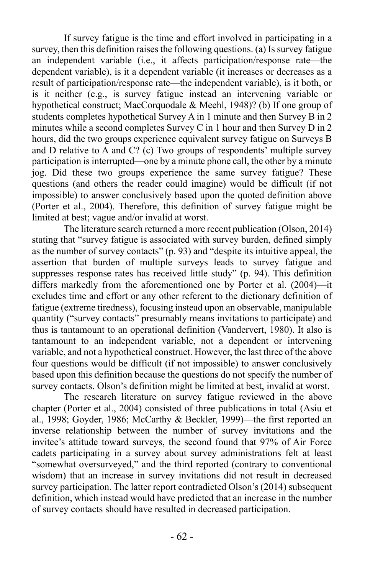If survey fatigue is the time and effort involved in participating in a survey, then this definition raises the following questions. (a) Is survey fatigue an independent variable (i.e., it affects participation/response rate—the dependent variable), is it a dependent variable (it increases or decreases as a result of participation/response rate—the independent variable), is it both, or is it neither (e.g., is survey fatigue instead an intervening variable or hypothetical construct; MacCorquodale & Meehl, 1948)? (b) If one group of students completes hypothetical Survey A in 1 minute and then Survey B in 2 minutes while a second completes Survey C in 1 hour and then Survey D in 2 hours, did the two groups experience equivalent survey fatigue on Surveys B and D relative to A and C? (c) Two groups of respondents' multiple survey participation is interrupted—one by a minute phone call, the other by a minute jog. Did these two groups experience the same survey fatigue? These questions (and others the reader could imagine) would be difficult (if not impossible) to answer conclusively based upon the quoted definition above (Porter et al., 2004). Therefore, this definition of survey fatigue might be limited at best; vague and/or invalid at worst.

The literature search returned a more recent publication (Olson, 2014) stating that "survey fatigue is associated with survey burden, defined simply as the number of survey contacts" (p. 93) and "despite its intuitive appeal, the assertion that burden of multiple surveys leads to survey fatigue and suppresses response rates has received little study" (p. 94). This definition differs markedly from the aforementioned one by Porter et al. (2004)—it excludes time and effort or any other referent to the dictionary definition of fatigue (extreme tiredness), focusing instead upon an observable, manipulable quantity ("survey contacts" presumably means invitations to participate) and thus is tantamount to an operational definition (Vandervert, 1980). It also is tantamount to an independent variable, not a dependent or intervening variable, and not a hypothetical construct. However, the last three of the above four questions would be difficult (if not impossible) to answer conclusively based upon this definition because the questions do not specify the number of survey contacts. Olson's definition might be limited at best, invalid at worst.

The research literature on survey fatigue reviewed in the above chapter (Porter et al., 2004) consisted of three publications in total (Asiu et al., 1998; Goyder, 1986; McCarthy & Beckler, 1999)—the first reported an inverse relationship between the number of survey invitations and the invitee's attitude toward surveys, the second found that 97% of Air Force cadets participating in a survey about survey administrations felt at least "somewhat oversurveyed," and the third reported (contrary to conventional wisdom) that an increase in survey invitations did not result in decreased survey participation. The latter report contradicted Olson's (2014) subsequent definition, which instead would have predicted that an increase in the number of survey contacts should have resulted in decreased participation.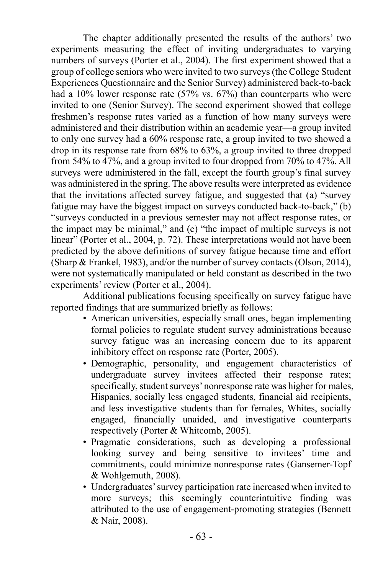The chapter additionally presented the results of the authors' two experiments measuring the effect of inviting undergraduates to varying numbers of surveys (Porter et al., 2004). The first experiment showed that a group of college seniors who were invited to two surveys (the College Student Experiences Questionnaire and the Senior Survey) administered back-to-back had a 10% lower response rate (57% vs. 67%) than counterparts who were invited to one (Senior Survey). The second experiment showed that college freshmen's response rates varied as a function of how many surveys were administered and their distribution within an academic year—a group invited to only one survey had a 60% response rate, a group invited to two showed a drop in its response rate from 68% to 63%, a group invited to three dropped from 54% to 47%, and a group invited to four dropped from 70% to 47%. All surveys were administered in the fall, except the fourth group's final survey was administered in the spring. The above results were interpreted as evidence that the invitations affected survey fatigue, and suggested that (a) "survey fatigue may have the biggest impact on surveys conducted back-to-back," (b) "surveys conducted in a previous semester may not affect response rates, or the impact may be minimal," and (c) "the impact of multiple surveys is not linear" (Porter et al., 2004, p. 72). These interpretations would not have been predicted by the above definitions of survey fatigue because time and effort (Sharp & Frankel, 1983), and/or the number of survey contacts (Olson, 2014), were not systematically manipulated or held constant as described in the two experiments' review (Porter et al., 2004).

Additional publications focusing specifically on survey fatigue have reported findings that are summarized briefly as follows:

- American universities, especially small ones, began implementing formal policies to regulate student survey administrations because survey fatigue was an increasing concern due to its apparent inhibitory effect on response rate (Porter, 2005).
- Demographic, personality, and engagement characteristics of undergraduate survey invitees affected their response rates; specifically, student surveys' nonresponse rate was higher for males, Hispanics, socially less engaged students, financial aid recipients, and less investigative students than for females, Whites, socially engaged, financially unaided, and investigative counterparts respectively (Porter & Whitcomb, 2005).
- Pragmatic considerations, such as developing a professional looking survey and being sensitive to invitees' time and commitments, could minimize nonresponse rates (Gansemer-Topf & Wohlgemuth, 2008).
- Undergraduates' survey participation rate increased when invited to more surveys; this seemingly counterintuitive finding was attributed to the use of engagement-promoting strategies (Bennett & Nair, 2008).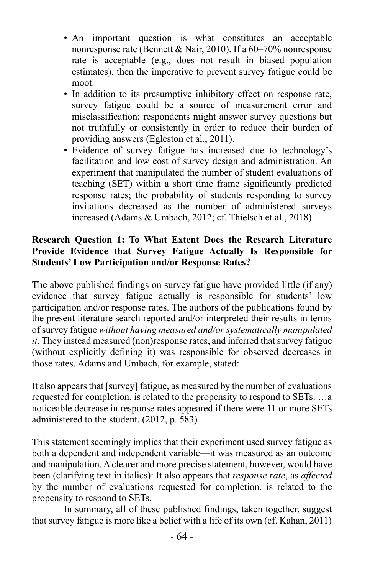- An important question is what constitutes an acceptable nonresponse rate (Bennett & Nair, 2010). If a 60–70% nonresponse rate is acceptable (e.g., does not result in biased population estimates), then the imperative to prevent survey fatigue could be moot.
- In addition to its presumptive inhibitory effect on response rate, survey fatigue could be a source of measurement error and misclassification; respondents might answer survey questions but not truthfully or consistently in order to reduce their burden of providing answers (Egleston et al., 2011).
- Evidence of survey fatigue has increased due to technology's facilitation and low cost of survey design and administration. An experiment that manipulated the number of student evaluations of teaching (SET) within a short time frame significantly predicted response rates; the probability of students responding to survey invitations decreased as the number of administered surveys increased (Adams & Umbach, 2012; cf. Thielsch et al., 2018).

## **Research Question 1: To What Extent Does the Research Literature Provide Evidence that Survey Fatigue Actually Is Responsible for Students' Low Participation and/or Response Rates?**

The above published findings on survey fatigue have provided little (if any) evidence that survey fatigue actually is responsible for students' low participation and/or response rates. The authors of the publications found by the present literature search reported and/or interpreted their results in terms of survey fatigue *without having measured and/or systematically manipulated it*. They instead measured (non)response rates, and inferred that survey fatigue (without explicitly defining it) was responsible for observed decreases in those rates. Adams and Umbach, for example, stated:

It also appears that [survey] fatigue, as measured by the number of evaluations requested for completion, is related to the propensity to respond to SETs. …a noticeable decrease in response rates appeared if there were 11 or more SETs administered to the student. (2012, p. 583)

This statement seemingly implies that their experiment used survey fatigue as both a dependent and independent variable—it was measured as an outcome and manipulation. A clearer and more precise statement, however, would have been (clarifying text in italics): It also appears that *response rate*, as *affected* by the number of evaluations requested for completion, is related to the propensity to respond to SETs.

In summary, all of these published findings, taken together, suggest that survey fatigue is more like a belief with a life of its own (cf. Kahan, 2011)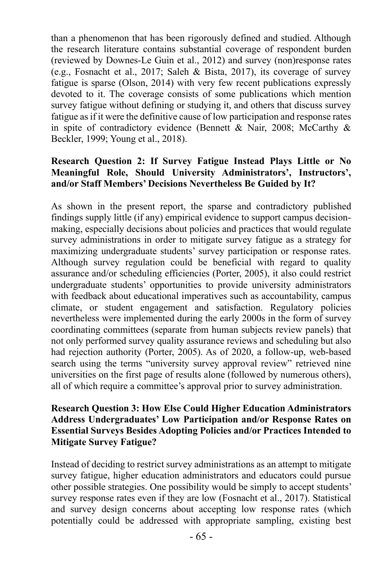than a phenomenon that has been rigorously defined and studied. Although the research literature contains substantial coverage of respondent burden (reviewed by Downes-Le Guin et al., 2012) and survey (non)response rates (e.g., Fosnacht et al., 2017; Saleh & Bista, 2017), its coverage of survey fatigue is sparse (Olson, 2014) with very few recent publications expressly devoted to it. The coverage consists of some publications which mention survey fatigue without defining or studying it, and others that discuss survey fatigue as if it were the definitive cause of low participation and response rates in spite of contradictory evidence (Bennett & Nair, 2008; McCarthy & Beckler, 1999; Young et al., 2018).

## **Research Question 2: If Survey Fatigue Instead Plays Little or No Meaningful Role, Should University Administrators', Instructors', and/or Staff Members' Decisions Nevertheless Be Guided by It?**

As shown in the present report, the sparse and contradictory published findings supply little (if any) empirical evidence to support campus decisionmaking, especially decisions about policies and practices that would regulate survey administrations in order to mitigate survey fatigue as a strategy for maximizing undergraduate students' survey participation or response rates. Although survey regulation could be beneficial with regard to quality assurance and/or scheduling efficiencies (Porter, 2005), it also could restrict undergraduate students' opportunities to provide university administrators with feedback about educational imperatives such as accountability, campus climate, or student engagement and satisfaction. Regulatory policies nevertheless were implemented during the early 2000s in the form of survey coordinating committees (separate from human subjects review panels) that not only performed survey quality assurance reviews and scheduling but also had rejection authority (Porter, 2005). As of 2020, a follow-up, web-based search using the terms "university survey approval review" retrieved nine universities on the first page of results alone (followed by numerous others), all of which require a committee's approval prior to survey administration.

## **Research Question 3: How Else Could Higher Education Administrators Address Undergraduates' Low Participation and/or Response Rates on Essential Surveys Besides Adopting Policies and/or Practices Intended to Mitigate Survey Fatigue?**

Instead of deciding to restrict survey administrations as an attempt to mitigate survey fatigue, higher education administrators and educators could pursue other possible strategies. One possibility would be simply to accept students' survey response rates even if they are low (Fosnacht et al., 2017). Statistical and survey design concerns about accepting low response rates (which potentially could be addressed with appropriate sampling, existing best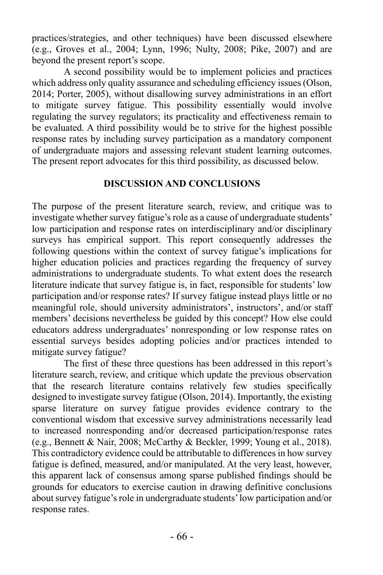practices/strategies, and other techniques) have been discussed elsewhere (e.g., Groves et al., 2004; Lynn, 1996; Nulty, 2008; Pike, 2007) and are beyond the present report's scope.

A second possibility would be to implement policies and practices which address only quality assurance and scheduling efficiency issues (Olson, 2014; Porter, 2005), without disallowing survey administrations in an effort to mitigate survey fatigue. This possibility essentially would involve regulating the survey regulators; its practicality and effectiveness remain to be evaluated. A third possibility would be to strive for the highest possible response rates by including survey participation as a mandatory component of undergraduate majors and assessing relevant student learning outcomes. The present report advocates for this third possibility, as discussed below.

#### **DISCUSSION AND CONCLUSIONS**

The purpose of the present literature search, review, and critique was to investigate whether survey fatigue's role as a cause of undergraduate students' low participation and response rates on interdisciplinary and/or disciplinary surveys has empirical support. This report consequently addresses the following questions within the context of survey fatigue's implications for higher education policies and practices regarding the frequency of survey administrations to undergraduate students. To what extent does the research literature indicate that survey fatigue is, in fact, responsible for students' low participation and/or response rates? If survey fatigue instead plays little or no meaningful role, should university administrators', instructors', and/or staff members' decisions nevertheless be guided by this concept? How else could educators address undergraduates' nonresponding or low response rates on essential surveys besides adopting policies and/or practices intended to mitigate survey fatigue?

The first of these three questions has been addressed in this report's literature search, review, and critique which update the previous observation that the research literature contains relatively few studies specifically designed to investigate survey fatigue (Olson, 2014). Importantly, the existing sparse literature on survey fatigue provides evidence contrary to the conventional wisdom that excessive survey administrations necessarily lead to increased nonresponding and/or decreased participation/response rates (e.g., Bennett & Nair, 2008; McCarthy & Beckler, 1999; Young et al., 2018). This contradictory evidence could be attributable to differences in how survey fatigue is defined, measured, and/or manipulated. At the very least, however, this apparent lack of consensus among sparse published findings should be grounds for educators to exercise caution in drawing definitive conclusions about survey fatigue's role in undergraduate students' low participation and/or response rates.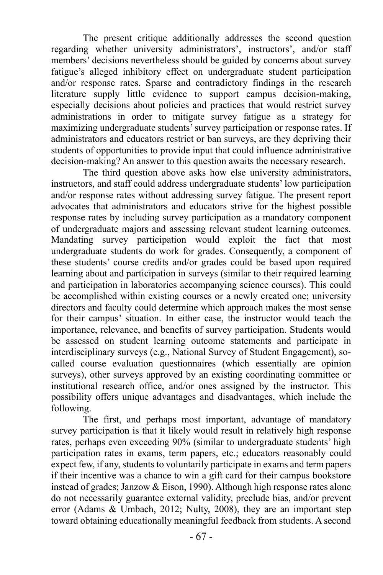The present critique additionally addresses the second question regarding whether university administrators', instructors', and/or staff members' decisions nevertheless should be guided by concerns about survey fatigue's alleged inhibitory effect on undergraduate student participation and/or response rates. Sparse and contradictory findings in the research literature supply little evidence to support campus decision-making, especially decisions about policies and practices that would restrict survey administrations in order to mitigate survey fatigue as a strategy for maximizing undergraduate students' survey participation or response rates. If administrators and educators restrict or ban surveys, are they depriving their students of opportunities to provide input that could influence administrative decision-making? An answer to this question awaits the necessary research.

The third question above asks how else university administrators, instructors, and staff could address undergraduate students' low participation and/or response rates without addressing survey fatigue. The present report advocates that administrators and educators strive for the highest possible response rates by including survey participation as a mandatory component of undergraduate majors and assessing relevant student learning outcomes. Mandating survey participation would exploit the fact that most undergraduate students do work for grades. Consequently, a component of these students' course credits and/or grades could be based upon required learning about and participation in surveys (similar to their required learning and participation in laboratories accompanying science courses). This could be accomplished within existing courses or a newly created one; university directors and faculty could determine which approach makes the most sense for their campus' situation. In either case, the instructor would teach the importance, relevance, and benefits of survey participation. Students would be assessed on student learning outcome statements and participate in interdisciplinary surveys (e.g., National Survey of Student Engagement), socalled course evaluation questionnaires (which essentially are opinion surveys), other surveys approved by an existing coordinating committee or institutional research office, and/or ones assigned by the instructor. This possibility offers unique advantages and disadvantages, which include the following.

The first, and perhaps most important, advantage of mandatory survey participation is that it likely would result in relatively high response rates, perhaps even exceeding 90% (similar to undergraduate students' high participation rates in exams, term papers, etc.; educators reasonably could expect few, if any, students to voluntarily participate in exams and term papers if their incentive was a chance to win a gift card for their campus bookstore instead of grades; Janzow & Eison, 1990). Although high response rates alone do not necessarily guarantee external validity, preclude bias, and/or prevent error (Adams & Umbach, 2012; Nulty, 2008), they are an important step toward obtaining educationally meaningful feedback from students. A second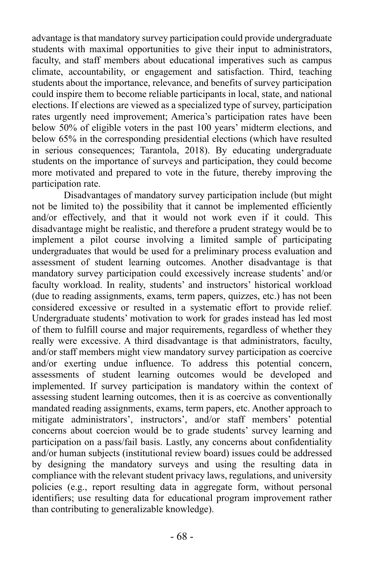advantage is that mandatory survey participation could provide undergraduate students with maximal opportunities to give their input to administrators, faculty, and staff members about educational imperatives such as campus climate, accountability, or engagement and satisfaction. Third, teaching students about the importance, relevance, and benefits of survey participation could inspire them to become reliable participants in local, state, and national elections. If elections are viewed as a specialized type of survey, participation rates urgently need improvement; America's participation rates have been below 50% of eligible voters in the past 100 years' midterm elections, and below 65% in the corresponding presidential elections (which have resulted in serious consequences; Tarantola, 2018). By educating undergraduate students on the importance of surveys and participation, they could become more motivated and prepared to vote in the future, thereby improving the participation rate.

Disadvantages of mandatory survey participation include (but might not be limited to) the possibility that it cannot be implemented efficiently and/or effectively, and that it would not work even if it could. This disadvantage might be realistic, and therefore a prudent strategy would be to implement a pilot course involving a limited sample of participating undergraduates that would be used for a preliminary process evaluation and assessment of student learning outcomes. Another disadvantage is that mandatory survey participation could excessively increase students' and/or faculty workload. In reality, students' and instructors' historical workload (due to reading assignments, exams, term papers, quizzes, etc.) has not been considered excessive or resulted in a systematic effort to provide relief. Undergraduate students' motivation to work for grades instead has led most of them to fulfill course and major requirements, regardless of whether they really were excessive. A third disadvantage is that administrators, faculty, and/or staff members might view mandatory survey participation as coercive and/or exerting undue influence. To address this potential concern, assessments of student learning outcomes would be developed and implemented. If survey participation is mandatory within the context of assessing student learning outcomes, then it is as coercive as conventionally mandated reading assignments, exams, term papers, etc. Another approach to mitigate administrators', instructors', and/or staff members' potential concerns about coercion would be to grade students' survey learning and participation on a pass/fail basis. Lastly, any concerns about confidentiality and/or human subjects (institutional review board) issues could be addressed by designing the mandatory surveys and using the resulting data in compliance with the relevant student privacy laws, regulations, and university policies (e.g., report resulting data in aggregate form, without personal identifiers; use resulting data for educational program improvement rather than contributing to generalizable knowledge).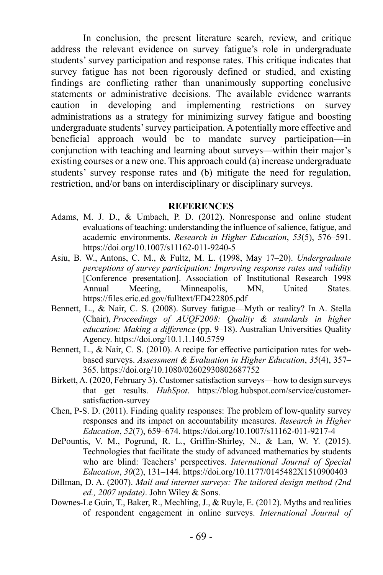In conclusion, the present literature search, review, and critique address the relevant evidence on survey fatigue's role in undergraduate students' survey participation and response rates. This critique indicates that survey fatigue has not been rigorously defined or studied, and existing findings are conflicting rather than unanimously supporting conclusive statements or administrative decisions. The available evidence warrants caution in developing and implementing restrictions on survey administrations as a strategy for minimizing survey fatigue and boosting undergraduate students' survey participation. A potentially more effective and beneficial approach would be to mandate survey participation—in conjunction with teaching and learning about surveys—within their major's existing courses or a new one. This approach could (a) increase undergraduate students' survey response rates and (b) mitigate the need for regulation, restriction, and/or bans on interdisciplinary or disciplinary surveys.

#### **REFERENCES**

- Adams, M. J. D., & Umbach, P. D. (2012). Nonresponse and online student evaluations of teaching: understanding the influence of salience, fatigue, and academic environments. *Research in Higher Education*, *53*(5), 576–591. https://doi.org/10.1007/s11162-011-9240-5
- Asiu, B. W., Antons, C. M., & Fultz, M. L. (1998, May 17–20). *Undergraduate perceptions of survey participation: Improving response rates and validity* [Conference presentation]. Association of Institutional Research 1998 Annual Meeting, Minneapolis, MN, United States. https://files.eric.ed.gov/fulltext/ED422805.pdf
- Bennett, L., & Nair, C. S. (2008). Survey fatigue—Myth or reality? In A. Stella (Chair), *Proceedings of AUQF2008: Quality & standards in higher education: Making a difference* (pp. 9–18). Australian Universities Quality Agency. https://doi.org/10.1.1.140.5759
- Bennett, L., & Nair, C. S. (2010). A recipe for effective participation rates for webbased surveys. *Assessment & Evaluation in Higher Education*, *35*(4), 357– 365. https://doi.org/10.1080/02602930802687752
- Birkett, A. (2020, February 3). Customer satisfaction surveys—how to design surveys that get results. *HubSpot*. https://blog.hubspot.com/service/customersatisfaction-survey
- Chen, P-S. D. (2011). Finding quality responses: The problem of low-quality survey responses and its impact on accountability measures. *Research in Higher Education*, *52*(7), 659–674. https://doi.org/10.1007/s11162-011-9217-4
- DePountis, V. M., Pogrund, R. L., Griffin-Shirley, N., & Lan, W. Y. (2015). Technologies that facilitate the study of advanced mathematics by students who are blind: Teachers' perspectives. *International Journal of Special Education*, *30*(2), 131–144. https://doi.org/10.1177/0145482X1510900403
- Dillman, D. A. (2007). *Mail and internet surveys: The tailored design method (2nd ed., 2007 update)*. John Wiley & Sons.
- Downes-Le Guin, T., Baker, R., Mechling, J., & Ruyle, E. (2012). Myths and realities of respondent engagement in online surveys. *International Journal of*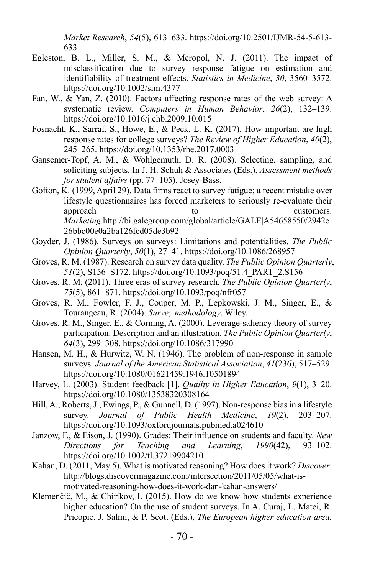*Market Research*, *54*(5), 613–633. https://doi.org/10.2501/IJMR-54-5-613- 633

- Egleston, B. L., Miller, S. M., & Meropol, N. J. (2011). The impact of misclassification due to survey response fatigue on estimation and identifiability of treatment effects. *Statistics in Medicine*, *30*, 3560–3572. https://doi.org/10.1002/sim.4377
- Fan, W., & Yan, Z. (2010). Factors affecting response rates of the web survey: A systematic review. *Computers in Human Behavior*, *26*(2), 132–139. https://doi.org/10.1016/j.chb.2009.10.015
- Fosnacht, K., Sarraf, S., Howe, E., & Peck, L. K. (2017). How important are high response rates for college surveys? *The Review of Higher Education*, *40*(2), 245–265. https://doi.org/10.1353/rhe.2017.0003
- Gansemer-Topf, A. M., & Wohlgemuth, D. R. (2008). Selecting, sampling, and soliciting subjects. In J. H. Schuh & Associates (Eds.), *Assessment methods for student affairs* (pp. 77–105). Josey-Bass.
- Gofton, K. (1999, April 29). Data firms react to survey fatigue; a recent mistake over lifestyle questionnaires has forced marketers to seriously re-evaluate their approach to to customers. *Marketing.*http://bi.galegroup.com/global/article/GALE|A54658550/2942e 26bbc00e0a2ba126fcd05de3b92
- Goyder, J. (1986). Surveys on surveys: Limitations and potentialities. *The Public Opinion Quarterly*, *50*(1), 27–41. https://doi.org/10.1086/268957
- Groves, R. M. (1987). Research on survey data quality. *The Public Opinion Quarterly*, *51*(2), S156–S172. https://doi.org/10.1093/poq/51.4\_PART\_2.S156
- Groves, R. M. (2011). Three eras of survey research. *The Public Opinion Quarterly*, *75*(5), 861–871. https://doi.org/10.1093/poq/nfr057
- Groves, R. M., Fowler, F. J., Couper, M. P., Lepkowski, J. M., Singer, E., & Tourangeau, R. (2004). *Survey methodology*. Wiley.
- Groves, R. M., Singer, E., & Corning, A. (2000). Leverage-saliency theory of survey participation: Description and an illustration. *The Public Opinion Quarterly*, *64*(3), 299–308. https://doi.org/10.1086/317990
- Hansen, M. H., & Hurwitz, W. N. (1946). The problem of non-response in sample surveys. *Journal of the American Statistical Association*, *41*(236), 517–529. https://doi.org/10.1080/01621459.1946.10501894
- Harvey, L. (2003). Student feedback [1]. *Quality in Higher Education*, *9*(1), 3–20. https://doi.org/10.1080/13538320308164
- Hill, A., Roberts, J., Ewings, P., & Gunnell, D. (1997). Non-response bias in a lifestyle survey. *Journal of Public Health Medicine*, *19*(2), 203–207. https://doi.org/10.1093/oxfordjournals.pubmed.a024610
- Janzow, F., & Eison, J. (1990). Grades: Their influence on students and faculty. *New Directions for Teaching and Learning*, *1990*(42), 93–102. https://doi.org/10.1002/tl.37219904210
- Kahan, D. (2011, May 5). What is motivated reasoning? How does it work? *Discover*. http://blogs.discovermagazine.com/intersection/2011/05/05/what-ismotivated-reasoning-how-does-it-work-dan-kahan-answers/
- Klemenčič, M., & Chirikov, I. (2015). How do we know how students experience higher education? On the use of student surveys. In A. Curaj, L. Matei, R. Pricopie, J. Salmi, & P. Scott (Eds.), *The European higher education area.*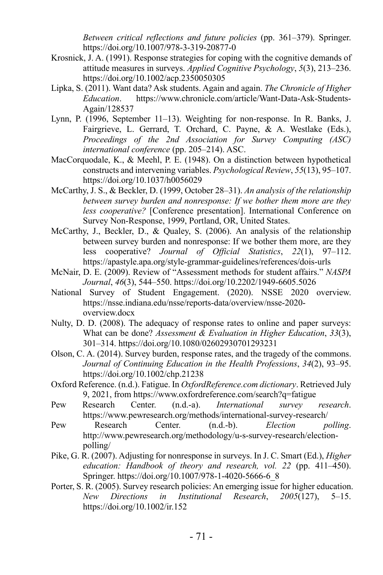*Between critical reflections and future policies* (pp. 361–379). Springer. https://doi.org/10.1007/978-3-319-20877-0

- Krosnick, J. A. (1991). Response strategies for coping with the cognitive demands of attitude measures in surveys. *Applied Cognitive Psychology*, *5*(3), 213–236. https://doi.org/10.1002/acp.2350050305
- Lipka, S. (2011). Want data? Ask students. Again and again. *The Chronicle of Higher Education*. https://www.chronicle.com/article/Want-Data-Ask-Students-Again/128537
- Lynn, P. (1996, September 11–13). Weighting for non-response. In R. Banks, J. Fairgrieve, L. Gerrard, T. Orchard, C. Payne, & A. Westlake (Eds.), *Proceedings of the 2nd Association for Survey Computing (ASC) international conference* (pp. 205–214). ASC.
- MacCorquodale, K., & Meehl, P. E. (1948). On a distinction between hypothetical constructs and intervening variables. *Psychological Review*, *55*(13), 95–107. https://doi.org/10.1037/h0056029
- McCarthy, J. S., & Beckler, D. (1999, October 28–31). *An analysis of the relationship between survey burden and nonresponse: If we bother them more are they less cooperative?* [Conference presentation]. International Conference on Survey Non-Response, 1999, Portland, OR, United States.
- McCarthy, J., Beckler, D., & Qualey, S. (2006). An analysis of the relationship between survey burden and nonresponse: If we bother them more, are they less cooperative? *Journal of Official Statistics*, *22*(1), 97–112. https://apastyle.apa.org/style-grammar-guidelines/references/dois-urls
- McNair, D. E. (2009). Review of "Assessment methods for student affairs." *NASPA Journal*, *46*(3), 544–550. https://doi.org/10.2202/1949-6605.5026
- National Survey of Student Engagement. (2020). NSSE 2020 overview. https://nsse.indiana.edu/nsse/reports-data/overview/nsse-2020 overview.docx
- Nulty, D. D. (2008). The adequacy of response rates to online and paper surveys: What can be done? *Assessment & Evaluation in Higher Education*, *33*(3), 301–314. https://doi.org/10.1080/02602930701293231
- Olson, C. A. (2014). Survey burden, response rates, and the tragedy of the commons. *Journal of Continuing Education in the Health Professions*, *34*(2), 93–95. https://doi.org/10.1002/chp.21238
- Oxford Reference. (n.d.). Fatigue. In *OxfordReference.com dictionary*. Retrieved July 9, 2021, from https://www.oxfordreference.com/search?q=fatigue
- Pew Research Center. (n.d.-a). *International survey research*. https://www.pewresearch.org/methods/international-survey-research/
- Pew Research Center. (n.d.-b). *Election polling*. http://www.pewresearch.org/methodology/u-s-survey-research/electionpolling/
- Pike, G. R. (2007). Adjusting for nonresponse in surveys. In J. C. Smart (Ed.), *Higher education: Handbook of theory and research, vol. 22* (pp. 411–450). Springer. https://doi.org/10.1007/978-1-4020-5666-6\_8
- Porter, S. R. (2005). Survey research policies: An emerging issue for higher education. *New Directions in Institutional Research*, *2005*(127), 5–15. https://doi.org/10.1002/ir.152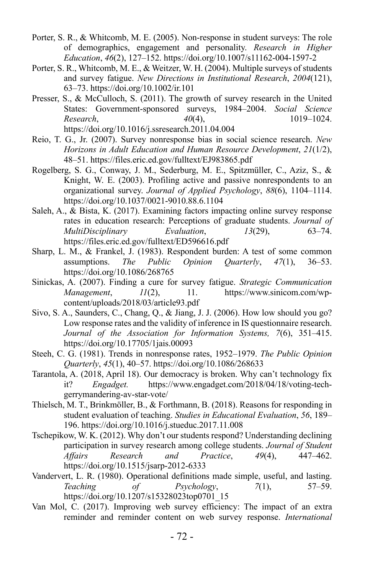- Porter, S. R., & Whitcomb, M. E. (2005). Non-response in student surveys: The role of demographics, engagement and personality. *Research in Higher Education*, *46*(2), 127–152. https://doi.org/10.1007/s11162-004-1597-2
- Porter, S. R., Whitcomb, M. E., & Weitzer, W. H. (2004). Multiple surveys of students and survey fatigue. *New Directions in Institutional Research*, *2004*(121), 63–73. https://doi.org/10.1002/ir.101
- Presser, S., & McCulloch, S. (2011). The growth of survey research in the United States: Government-sponsored surveys, 1984–2004. *Social Science Research*, *40*(4), 1019–1024. https://doi.org/10.1016/j.ssresearch.2011.04.004
- Reio, T. G., Jr. (2007). Survey nonresponse bias in social science research. *New Horizons in Adult Education and Human Resource Development*, *21*(1/2), 48–51. https://files.eric.ed.gov/fulltext/EJ983865.pdf
- Rogelberg, S. G., Conway, J. M., Sederburg, M. E., Spitzmüller, C., Aziz, S., & Knight, W. E. (2003). Profiling active and passive nonrespondents to an organizational survey. *Journal of Applied Psychology*, *88*(6), 1104–1114. https://doi.org/10.1037/0021-9010.88.6.1104
- Saleh, A., & Bista, K. (2017). Examining factors impacting online survey response rates in education research: Perceptions of graduate students. *Journal of MultiDisciplinary Evaluation*, *13*(29), 63–74. https://files.eric.ed.gov/fulltext/ED596616.pdf
- Sharp, L. M., & Frankel, J. (1983). Respondent burden: A test of some common assumptions. *The Public Opinion Quarterly*, *47*(1), 36–53. https://doi.org/10.1086/268765
- Sinickas, A. (2007). Finding a cure for survey fatigue. *Strategic Communication Management*, *11*(2), 11. https://www.sinicom.com/wpcontent/uploads/2018/03/article93.pdf
- Sivo, S. A., Saunders, C., Chang, Q., & Jiang, J. J. (2006). How low should you go? Low response rates and the validity of inference in IS questionnaire research. *Journal of the Association for Information Systems, 7*(6), 351–415. https://doi.org/10.17705/1jais.00093
- Steeh, C. G. (1981). Trends in nonresponse rates, 1952–1979. *The Public Opinion Quarterly*, *45*(1), 40–57. https://doi.org/10.1086/268633
- Tarantola, A. (2018, April 18). Our democracy is broken. Why can't technology fix it? *Engadget.* https://www.engadget.com/2018/04/18/voting-techgerrymandering-av-star-vote/
- Thielsch, M. T., Brinkmöller, B., & Forthmann, B. (2018). Reasons for responding in student evaluation of teaching. *Studies in Educational Evaluation*, *56*, 189– 196. https://doi.org/10.1016/j.stueduc.2017.11.008
- Tschepikow, W. K. (2012). Why don't our students respond? Understanding declining participation in survey research among college students. *Journal of Student Affairs Research and Practice*, *49*(4), 447–462. https://doi.org/10.1515/jsarp-2012-6333
- Vandervert, L. R. (1980). Operational definitions made simple, useful, and lasting. *Teaching of Psychology*, *7*(1), 57–59. https://doi.org/10.1207/s15328023top0701\_15
- Van Mol, C. (2017). Improving web survey efficiency: The impact of an extra reminder and reminder content on web survey response. *International*